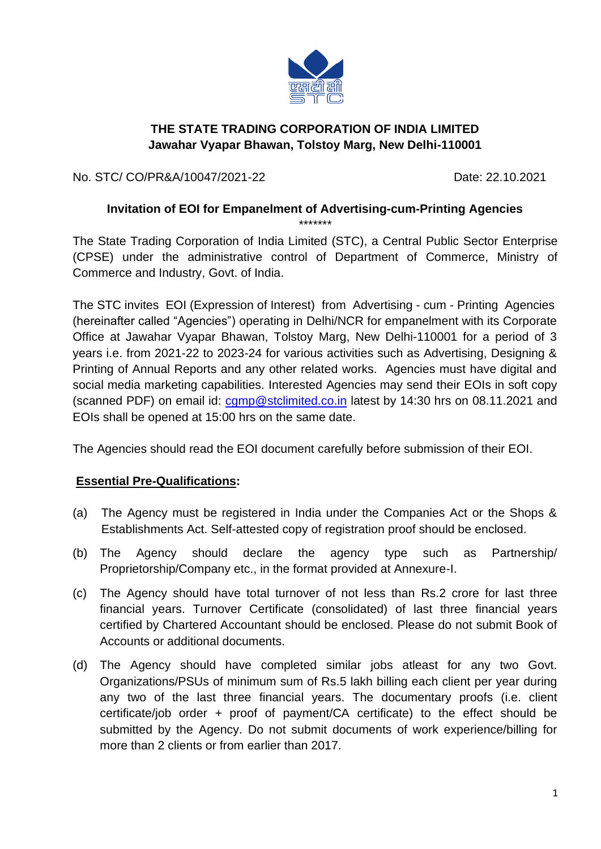

## **THE STATE TRADING CORPORATION OF INDIA LIMITED Jawahar Vyapar Bhawan, Tolstoy Marg, New Delhi-110001**

No. STC/ CO/PR&A/10047/2021-22 Date: 22.10.2021

#### **Invitation of EOI for Empanelment of Advertising-cum-Printing Agencies**

\*\*\*\*\*\*\* The State Trading Corporation of India Limited (STC), a Central Public Sector Enterprise (CPSE) under the administrative control of Department of Commerce, Ministry of Commerce and Industry, Govt. of India.

The STC invites EOI (Expression of Interest) from Advertising - cum - Printing Agencies (hereinafter called "Agencies") operating in Delhi/NCR for empanelment with its Corporate Office at Jawahar Vyapar Bhawan, Tolstoy Marg, New Delhi-110001 for a period of 3 years i.e. from 2021-22 to 2023-24 for various activities such as Advertising, Designing & Printing of Annual Reports and any other related works. Agencies must have digital and social media marketing capabilities. Interested Agencies may send their EOIs in soft copy (scanned PDF) on email id: [cgmp@stclimited.co.in](mailto:cgmp@stclimited.co.in) latest by 14:30 hrs on 08.11.2021 and EOIs shall be opened at 15:00 hrs on the same date.

The Agencies should read the EOI document carefully before submission of their EOI.

#### **Essential Pre-Qualifications:**

- (a) The Agency must be registered in India under the Companies Act or the Shops & Establishments Act. Self-attested copy of registration proof should be enclosed.
- (b) The Agency should declare the agency type such as Partnership/ Proprietorship/Company etc., in the format provided at Annexure-I.
- (c) The Agency should have total turnover of not less than Rs.2 crore for last three financial years. Turnover Certificate (consolidated) of last three financial years certified by Chartered Accountant should be enclosed. Please do not submit Book of Accounts or additional documents.
- (d) The Agency should have completed similar jobs atleast for any two Govt. Organizations/PSUs of minimum sum of Rs.5 lakh billing each client per year during any two of the last three financial years. The documentary proofs (i.e. client certificate/job order + proof of payment/CA certificate) to the effect should be submitted by the Agency. Do not submit documents of work experience/billing for more than 2 clients or from earlier than 2017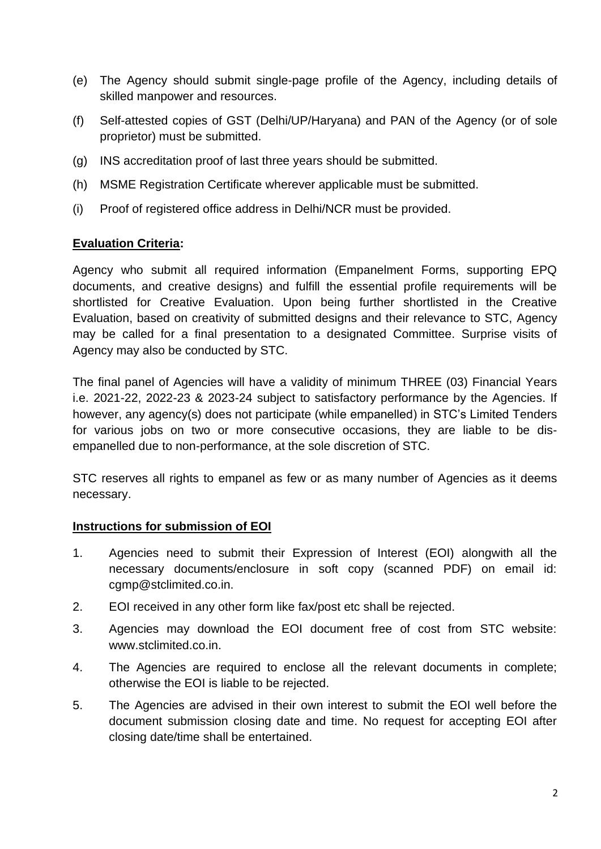- (e) The Agency should submit single-page profile of the Agency, including details of skilled manpower and resources.
- (f) Self-attested copies of GST (Delhi/UP/Haryana) and PAN of the Agency (or of sole proprietor) must be submitted.
- (g) INS accreditation proof of last three years should be submitted.
- (h) MSME Registration Certificate wherever applicable must be submitted.
- (i) Proof of registered office address in Delhi/NCR must be provided.

#### **Evaluation Criteria:**

Agency who submit all required information (Empanelment Forms, supporting EPQ documents, and creative designs) and fulfill the essential profile requirements will be shortlisted for Creative Evaluation. Upon being further shortlisted in the Creative Evaluation, based on creativity of submitted designs and their relevance to STC, Agency may be called for a final presentation to a designated Committee. Surprise visits of Agency may also be conducted by STC.

The final panel of Agencies will have a validity of minimum THREE (03) Financial Years i.e. 2021-22, 2022-23 & 2023-24 subject to satisfactory performance by the Agencies. If however, any agency(s) does not participate (while empanelled) in STC's Limited Tenders for various jobs on two or more consecutive occasions, they are liable to be disempanelled due to non-performance, at the sole discretion of STC.

STC reserves all rights to empanel as few or as many number of Agencies as it deems necessary.

#### **Instructions for submission of EOI**

- 1. Agencies need to submit their Expression of Interest (EOI) alongwith all the necessary documents/enclosure in soft copy (scanned PDF) on email id: cgmp@stclimited.co.in.
- 2. EOI received in any other form like fax/post etc shall be rejected.
- 3. Agencies may download the EOI document free of cost from STC website: [www.stclimited.co.in.](http://www.stclimited.co.in/)
- 4. The Agencies are required to enclose all the relevant documents in complete; otherwise the EOI is liable to be rejected.
- 5. The Agencies are advised in their own interest to submit the EOI well before the document submission closing date and time. No request for accepting EOI after closing date/time shall be entertained.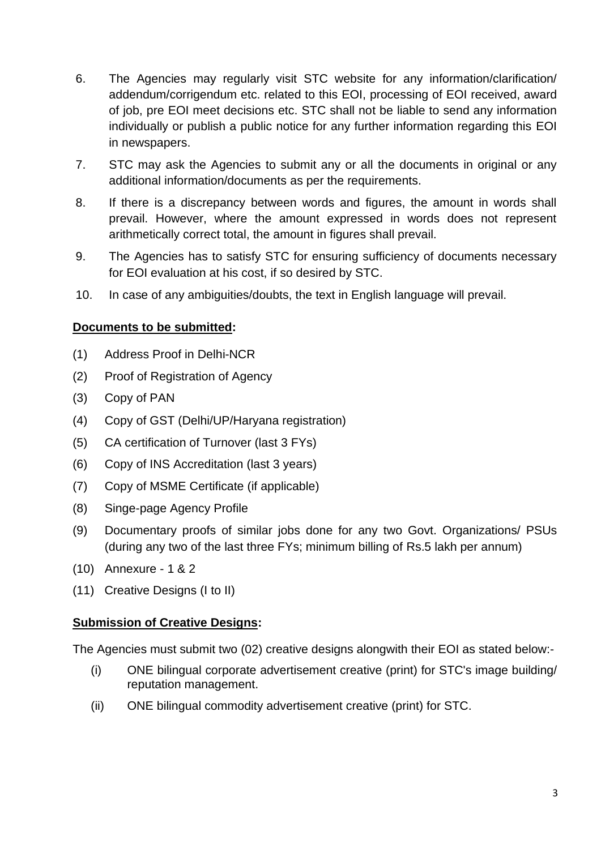- 6. The Agencies may regularly visit STC website for any information/clarification/ addendum/corrigendum etc. related to this EOI, processing of EOI received, award of job, pre EOI meet decisions etc. STC shall not be liable to send any information individually or publish a public notice for any further information regarding this EOI in newspapers.
- 7. STC may ask the Agencies to submit any or all the documents in original or any additional information/documents as per the requirements.
- 8. If there is a discrepancy between words and figures, the amount in words shall prevail. However, where the amount expressed in words does not represent arithmetically correct total, the amount in figures shall prevail.
- 9. The Agencies has to satisfy STC for ensuring sufficiency of documents necessary for EOI evaluation at his cost, if so desired by STC.
- 10. In case of any ambiguities/doubts, the text in English language will prevail.

#### **Documents to be submitted:**

- (1) Address Proof in Delhi-NCR
- (2) Proof of Registration of Agency
- (3) Copy of PAN
- (4) Copy of GST (Delhi/UP/Haryana registration)
- (5) CA certification of Turnover (last 3 FYs)
- (6) Copy of INS Accreditation (last 3 years)
- (7) Copy of MSME Certificate (if applicable)
- (8) Singe-page Agency Profile
- (9) Documentary proofs of similar jobs done for any two Govt. Organizations/ PSUs (during any two of the last three FYs; minimum billing of Rs.5 lakh per annum)
- (10) Annexure 1 & 2
- (11) Creative Designs (I to II)

#### **Submission of Creative Designs:**

The Agencies must submit two (02) creative designs alongwith their EOI as stated below:-

- (i) ONE bilingual corporate advertisement creative (print) for STC's image building/ reputation management.
- (ii) ONE bilingual commodity advertisement creative (print) for STC.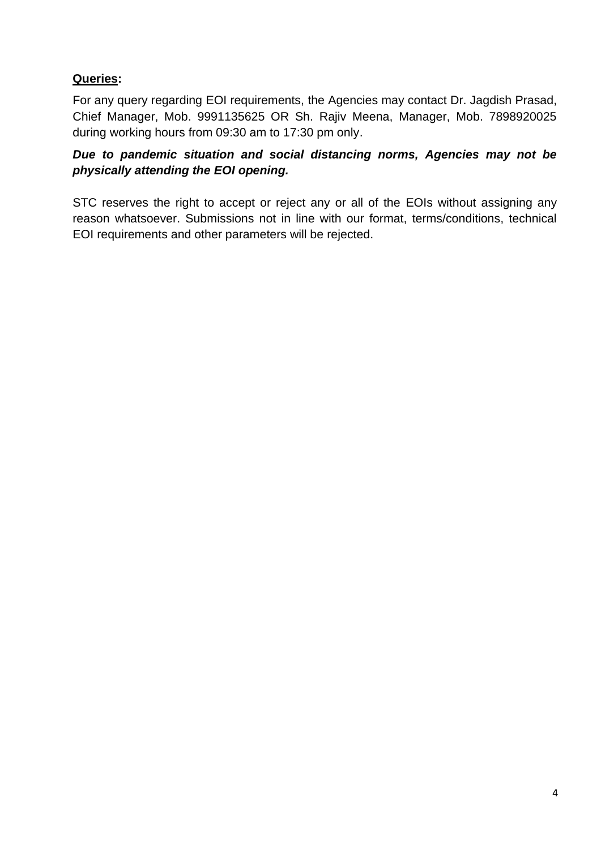# **Queries:**

For any query regarding EOI requirements, the Agencies may contact Dr. Jagdish Prasad, Chief Manager, Mob. 9991135625 OR Sh. Rajiv Meena, Manager, Mob. 7898920025 during working hours from 09:30 am to 17:30 pm only.

## *Due to pandemic situation and social distancing norms, Agencies may not be physically attending the EOI opening.*

STC reserves the right to accept or reject any or all of the EOIs without assigning any reason whatsoever. Submissions not in line with our format, terms/conditions, technical EOI requirements and other parameters will be rejected.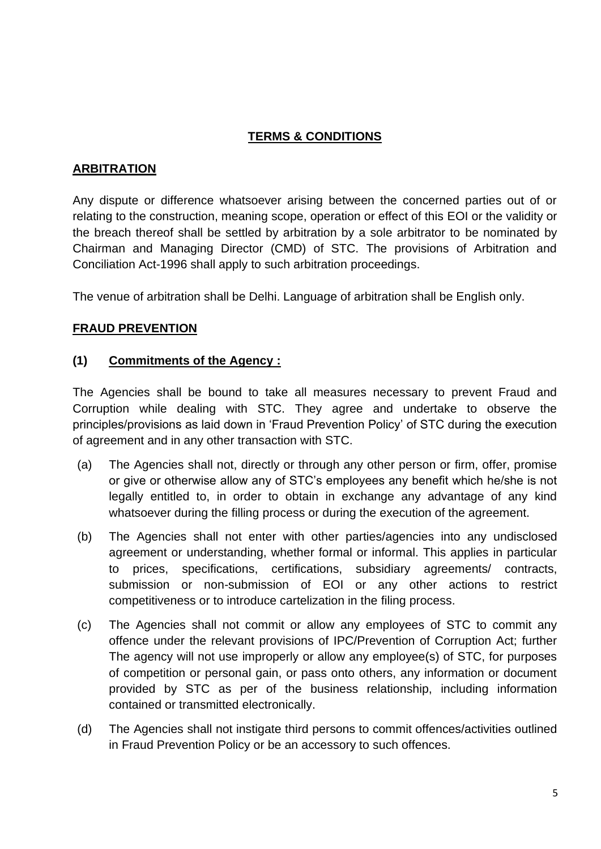## **TERMS & CONDITIONS**

## **ARBITRATION**

Any dispute or difference whatsoever arising between the concerned parties out of or relating to the construction, meaning scope, operation or effect of this EOI or the validity or the breach thereof shall be settled by arbitration by a sole arbitrator to be nominated by Chairman and Managing Director (CMD) of STC. The provisions of Arbitration and Conciliation Act-1996 shall apply to such arbitration proceedings.

The venue of arbitration shall be Delhi. Language of arbitration shall be English only.

#### **FRAUD PREVENTION**

#### **(1) Commitments of the Agency :**

The Agencies shall be bound to take all measures necessary to prevent Fraud and Corruption while dealing with STC. They agree and undertake to observe the principles/provisions as laid down in 'Fraud Prevention Policy' of STC during the execution of agreement and in any other transaction with STC.

- (a) The Agencies shall not, directly or through any other person or firm, offer, promise or give or otherwise allow any of STC's employees any benefit which he/she is not legally entitled to, in order to obtain in exchange any advantage of any kind whatsoever during the filling process or during the execution of the agreement.
- (b) The Agencies shall not enter with other parties/agencies into any undisclosed agreement or understanding, whether formal or informal. This applies in particular to prices, specifications, certifications, subsidiary agreements/ contracts, submission or non-submission of EOI or any other actions to restrict competitiveness or to introduce cartelization in the filing process.
- (c) The Agencies shall not commit or allow any employees of STC to commit any offence under the relevant provisions of IPC/Prevention of Corruption Act; further The agency will not use improperly or allow any employee(s) of STC, for purposes of competition or personal gain, or pass onto others, any information or document provided by STC as per of the business relationship, including information contained or transmitted electronically.
- (d) The Agencies shall not instigate third persons to commit offences/activities outlined in Fraud Prevention Policy or be an accessory to such offences.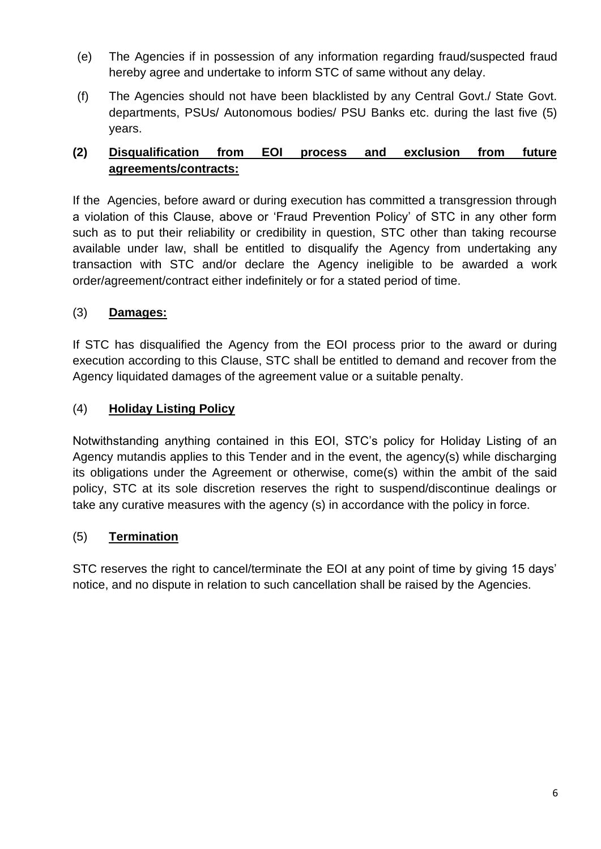- (e) The Agencies if in possession of any information regarding fraud/suspected fraud hereby agree and undertake to inform STC of same without any delay.
- (f) The Agencies should not have been blacklisted by any Central Govt./ State Govt. departments, PSUs/ Autonomous bodies/ PSU Banks etc. during the last five (5) years.

# **(2) Disqualification from EOI process and exclusion from future agreements/contracts:**

If the Agencies, before award or during execution has committed a transgression through a violation of this Clause, above or 'Fraud Prevention Policy' of STC in any other form such as to put their reliability or credibility in question, STC other than taking recourse available under law, shall be entitled to disqualify the Agency from undertaking any transaction with STC and/or declare the Agency ineligible to be awarded a work order/agreement/contract either indefinitely or for a stated period of time.

## (3) **Damages:**

If STC has disqualified the Agency from the EOI process prior to the award or during execution according to this Clause, STC shall be entitled to demand and recover from the Agency liquidated damages of the agreement value or a suitable penalty.

## (4) **Holiday Listing Policy**

Notwithstanding anything contained in this EOI, STC's policy for Holiday Listing of an Agency mutandis applies to this Tender and in the event, the agency(s) while discharging its obligations under the Agreement or otherwise, come(s) within the ambit of the said policy, STC at its sole discretion reserves the right to suspend/discontinue dealings or take any curative measures with the agency (s) in accordance with the policy in force.

## (5) **Termination**

STC reserves the right to cancel/terminate the EOI at any point of time by giving 15 days' notice, and no dispute in relation to such cancellation shall be raised by the Agencies.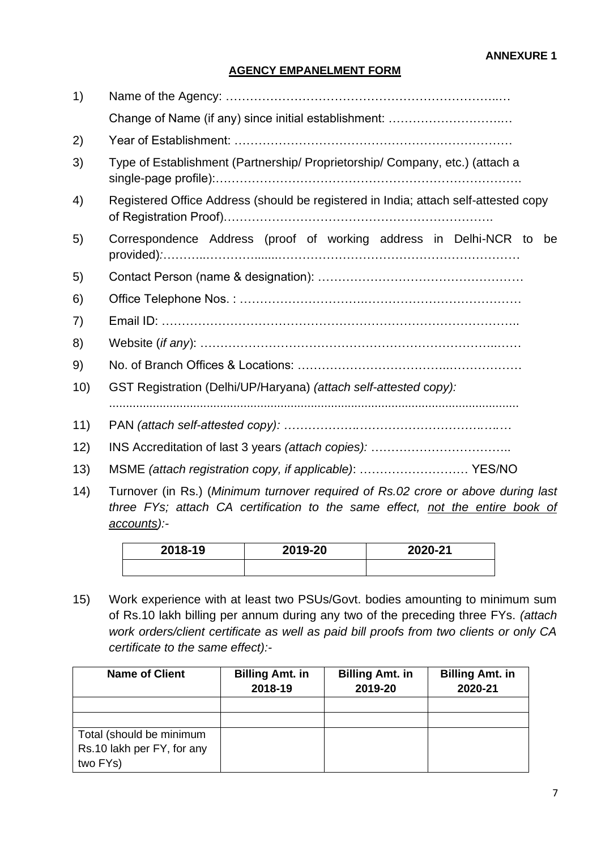# **AGENCY EMPANELMENT FORM**

| 1)   |                                                                                                                                                                                  |  |  |  |
|------|----------------------------------------------------------------------------------------------------------------------------------------------------------------------------------|--|--|--|
|      | Change of Name (if any) since initial establishment:                                                                                                                             |  |  |  |
| 2)   |                                                                                                                                                                                  |  |  |  |
| 3)   | Type of Establishment (Partnership/ Proprietorship/ Company, etc.) (attach a                                                                                                     |  |  |  |
| 4)   | Registered Office Address (should be registered in India; attach self-attested copy                                                                                              |  |  |  |
| 5)   | Correspondence Address (proof of working address in Delhi-NCR to be                                                                                                              |  |  |  |
| 5)   |                                                                                                                                                                                  |  |  |  |
| 6)   |                                                                                                                                                                                  |  |  |  |
| 7)   |                                                                                                                                                                                  |  |  |  |
| 8)   |                                                                                                                                                                                  |  |  |  |
| 9)   |                                                                                                                                                                                  |  |  |  |
| 10)  | GST Registration (Delhi/UP/Haryana) (attach self-attested copy):                                                                                                                 |  |  |  |
| 11)  |                                                                                                                                                                                  |  |  |  |
| 12)  |                                                                                                                                                                                  |  |  |  |
| 13)  | MSME (attach registration copy, if applicable):  YES/NO                                                                                                                          |  |  |  |
| (14) | Turnover (in Rs.) (Minimum turnover required of Rs.02 crore or above during last<br>three FYs; attach CA certification to the same effect, not the entire book of<br>accounts):- |  |  |  |

| 2018-19 | 2019-20 | 2020-21 |
|---------|---------|---------|
|         |         |         |

15) Work experience with at least two PSUs/Govt. bodies amounting to minimum sum of Rs.10 lakh billing per annum during any two of the preceding three FYs. *(attach work orders/client certificate as well as paid bill proofs from two clients or only CA certificate to the same effect):-*

| <b>Name of Client</b>      | <b>Billing Amt. in</b><br>2018-19 | <b>Billing Amt. in</b><br>2019-20 | <b>Billing Amt. in</b><br>2020-21 |
|----------------------------|-----------------------------------|-----------------------------------|-----------------------------------|
|                            |                                   |                                   |                                   |
| Total (should be minimum   |                                   |                                   |                                   |
| Rs.10 lakh per FY, for any |                                   |                                   |                                   |
| two FYs)                   |                                   |                                   |                                   |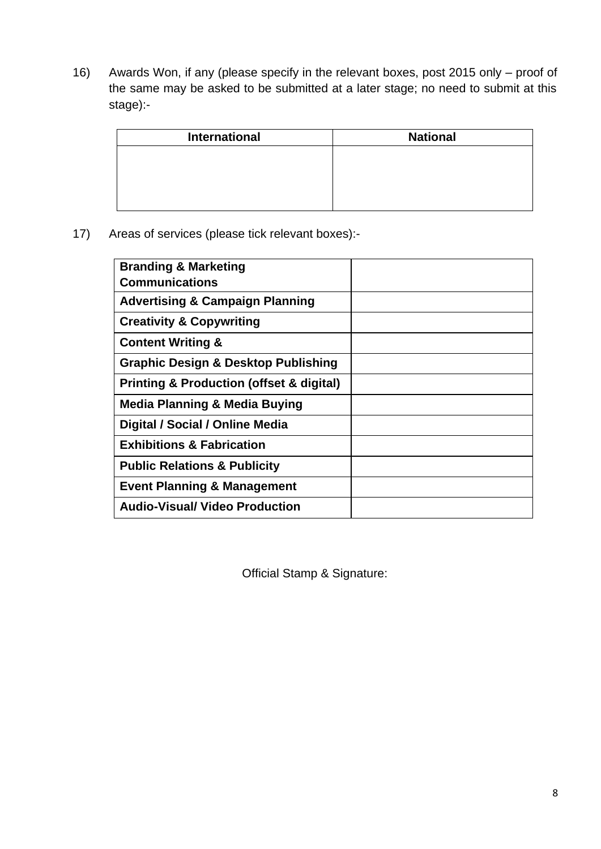16) Awards Won, if any (please specify in the relevant boxes, post 2015 only – proof of the same may be asked to be submitted at a later stage; no need to submit at this stage):-

| <b>International</b> | <b>National</b> |
|----------------------|-----------------|
|                      |                 |
|                      |                 |
|                      |                 |
|                      |                 |

17) Areas of services (please tick relevant boxes):-

| <b>Branding &amp; Marketing</b>                         |  |
|---------------------------------------------------------|--|
| <b>Communications</b>                                   |  |
| <b>Advertising &amp; Campaign Planning</b>              |  |
| <b>Creativity &amp; Copywriting</b>                     |  |
| <b>Content Writing &amp;</b>                            |  |
| <b>Graphic Design &amp; Desktop Publishing</b>          |  |
| <b>Printing &amp; Production (offset &amp; digital)</b> |  |
| <b>Media Planning &amp; Media Buying</b>                |  |
| Digital / Social / Online Media                         |  |
| <b>Exhibitions &amp; Fabrication</b>                    |  |
| <b>Public Relations &amp; Publicity</b>                 |  |
| <b>Event Planning &amp; Management</b>                  |  |
| <b>Audio-Visual/ Video Production</b>                   |  |
|                                                         |  |

Official Stamp & Signature: